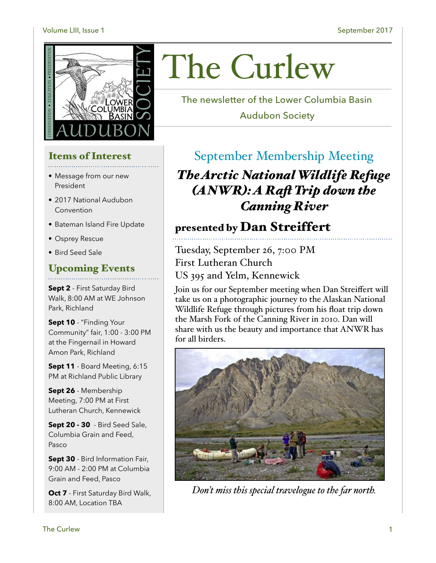#### Volume LIII, Issue 1 September 2017



# Items of Interest

- Message from our new President
- 2017 National Audubon Convention
- Bateman Island Fire Update
- Osprey Rescue
- Bird Seed Sale

### Upcoming Events

**Sept 2** - First Saturday Bird Walk, 8:00 AM at WE Johnson Park, Richland

**Sept 10** - "Finding Your Community" fair, 1:00 - 3:00 PM at the Fingernail in Howard Amon Park, Richland

**Sept 11** - Board Meeting, 6:15 PM at Richland Public Library

**Sept 26** - Membership Meeting, 7:00 PM at First Lutheran Church, Kennewick

**Sept 20 - 30** - Bird Seed Sale, Columbia Grain and Feed, Pasco

**Sept 30** - Bird Information Fair, 9:00 AM - 2:00 PM at Columbia Grain and Feed, Pasco

**Oct 7** - First Saturday Bird Walk, 8:00 AM, Location TBA

# The Curlew

The newsletter of the Lower Columbia Basin

Audubon Society

### September Membership Meeting

*The Arctic National Wildlife Refuge (ANWR): A Raf Trip down the Canning River*

### presented by Dan Streiffert

Tuesday, September 26, 7:00 PM First Lutheran Church US 395 and Yelm, Kennewick

Join us for our September meeting when Dan Streiffert will take us on a photographic journey to the Alaskan National Wildlife Refuge through pictures from his float trip down the Marsh Fork of the Canning River in 2010. Dan will share with us the beauty and importance that ANWR has for all birders.



*Don't miss this special travelogue to the far north.*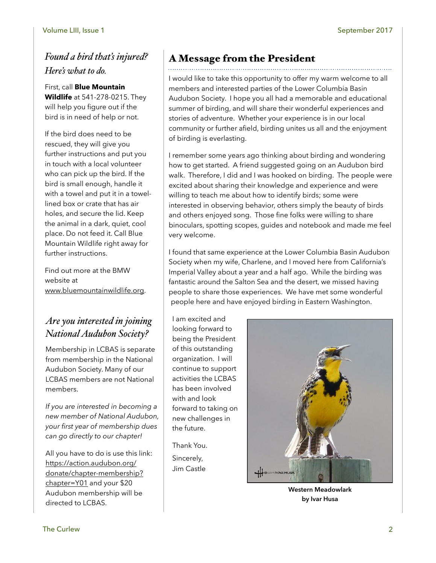### *Found a bird that's injured? Here's what to do.*

First, call **Blue Mountain Wildlife** at 541-278-0215. They will help you figure out if the bird is in need of help or not.

If the bird does need to be rescued, they will give you further instructions and put you in touch with a local volunteer who can pick up the bird. If the bird is small enough, handle it with a towel and put it in a towellined box or crate that has air holes, and secure the lid. Keep the animal in a dark, quiet, cool place. Do not feed it. Call Blue Mountain Wildlife right away for further instructions.

Find out more at the BMW website at [www.bluemountainwildlife.org.](http://www.bluemountainwildlife.org)

### *Are you interested in joining National Audubon Society?*

Membership in LCBAS is separate from membership in the National Audubon Society. Many of our LCBAS members are not National members.

*If you are interested in becoming a new member of National Audubon, your first year of membership dues can go directly to our chapter!* 

All you have to do is use this link: [https://action.audubon.org/](https://action.audubon.org/donate/chapter-membership?chapter=Y01) [donate/chapter-membership?](https://action.audubon.org/donate/chapter-membership?chapter=Y01) [chapter=Y](https://action.audubon.org/donate/chapter-membership?chapter=Y01)01 and your \$20 Audubon membership will be directed to LCBAS.

### A Message from the President

I would like to take this opportunity to offer my warm welcome to all members and interested parties of the Lower Columbia Basin Audubon Society. I hope you all had a memorable and educational summer of birding, and will share their wonderful experiences and stories of adventure. Whether your experience is in our local community or further afield, birding unites us all and the enjoyment of birding is everlasting.

I remember some years ago thinking about birding and wondering how to get started. A friend suggested going on an Audubon bird walk. Therefore, I did and I was hooked on birding. The people were excited about sharing their knowledge and experience and were willing to teach me about how to identify birds; some were interested in observing behavior, others simply the beauty of birds and others enjoyed song. Those fine folks were willing to share binoculars, spotting scopes, guides and notebook and made me feel very welcome.

I found that same experience at the Lower Columbia Basin Audubon Society when my wife, Charlene, and I moved here from California's Imperial Valley about a year and a half ago. While the birding was fantastic around the Salton Sea and the desert, we missed having people to share those experiences. We have met some wonderful people here and have enjoyed birding in Eastern Washington.

I am excited and looking forward to being the President of this outstanding organization. I will continue to support activities the LCBAS has been involved with and look forward to taking on new challenges in the future.

Thank You. Sincerely, Jim Castle



**Western Meadowlark by Ivar Husa**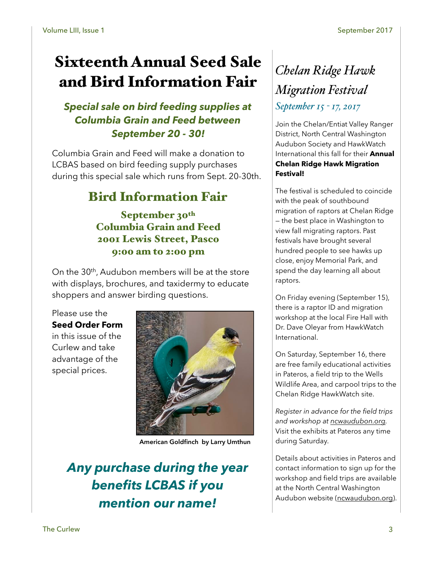# Sixteenth Annual Seed Sale and Bird Information Fair

### *Special sale on bird feeding supplies at Columbia Grain and Feed between September 20 - 30!*

Columbia Grain and Feed will make a donation to LCBAS based on bird feeding supply purchases during this special sale which runs from Sept. 20-30th.

# Bird Information Fair

September 30<sup>th</sup> Columbia Grain and Feed 2001 Lewis Street, Pasco 9:00 am to 2:00 pm

On the 30<sup>th</sup>, Audubon members will be at the store with displays, brochures, and taxidermy to educate shoppers and answer birding questions.

Please use the

**Seed Order Form** in this issue of the Curlew and take advantage of the special prices.



**American Goldfinch by Larry Umthun**

# *Any purchase during the year benefits LCBAS if you mention our name!*

# *Chelan Ridge Hawk Migration Festival September 15 - 17, 2017*

Join the Chelan/Entiat Valley Ranger District, North Central Washington Audubon Society and HawkWatch International this fall for their **Annual Chelan Ridge Hawk Migration Festival!** 

The festival is scheduled to coincide with the peak of southbound migration of raptors at Chelan Ridge — the best place in Washington to view fall migrating raptors. Past festivals have brought several hundred people to see hawks up close, enjoy Memorial Park, and spend the day learning all about raptors.

On Friday evening (September 15), there is a raptor ID and migration workshop at the local Fire Hall with Dr. Dave Oleyar from HawkWatch International.

On Saturday, September 16, there are free family educational activities in Pateros, a field trip to the Wells Wildlife Area, and carpool trips to the Chelan Ridge HawkWatch site.

*Register in advance for the field trips and workshop at [ncwaudubon.org](http://ncwaudubon.org).*  Visit the exhibits at Pateros any time during Saturday.

Details about activities in Pateros and contact information to sign up for the workshop and field trips are available at the North Central Washington Audubon website ([ncwaudubon.org](http://ncwaudubon.org)).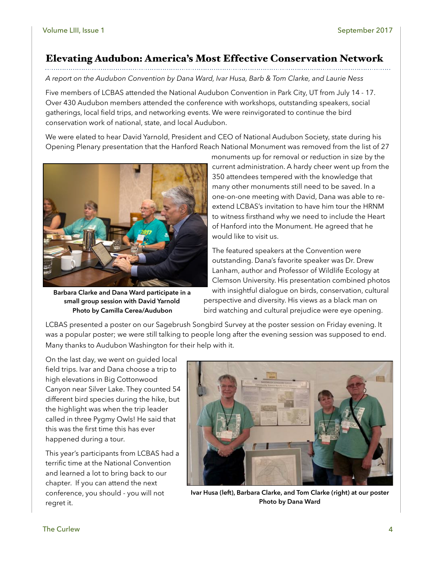### Elevating Audubon: America's Most Effective Conservation Network

*A report on the Audubon Convention by Dana Ward, Ivar Husa, Barb & Tom Clarke, and Laurie Ness*

Five members of LCBAS attended the National Audubon Convention in Park City, UT from July 14 - 17. Over 430 Audubon members attended the conference with workshops, outstanding speakers, social gatherings, local field trips, and networking events. We were reinvigorated to continue the bird conservation work of national, state, and local Audubon.

We were elated to hear David Yarnold, President and CEO of National Audubon Society, state during his Opening Plenary presentation that the Hanford Reach National Monument was removed from the list of 27



**Barbara Clarke and Dana Ward participate in a small group session with David Yarnold Photo by Camilla Cerea/Audubon**

monuments up for removal or reduction in size by the current administration. A hardy cheer went up from the 350 attendees tempered with the knowledge that many other monuments still need to be saved. In a one-on-one meeting with David, Dana was able to reextend LCBAS's invitation to have him tour the HRNM to witness firsthand why we need to include the Heart of Hanford into the Monument. He agreed that he would like to visit us.

The featured speakers at the Convention were outstanding. Dana's favorite speaker was Dr. Drew Lanham, author and Professor of Wildlife Ecology at Clemson University. His presentation combined photos with insightful dialogue on birds, conservation, cultural perspective and diversity. His views as a black man on bird watching and cultural prejudice were eye opening.

LCBAS presented a poster on our Sagebrush Songbird Survey at the poster session on Friday evening. It was a popular poster; we were still talking to people long after the evening session was supposed to end. Many thanks to Audubon Washington for their help with it.

On the last day, we went on guided local field trips. Ivar and Dana choose a trip to high elevations in Big Cottonwood Canyon near Silver Lake. They counted 54 different bird species during the hike, but the highlight was when the trip leader called in three Pygmy Owls! He said that this was the first time this has ever happened during a tour.

This year's participants from LCBAS had a terrific time at the National Convention and learned a lot to bring back to our chapter. If you can attend the next conference, you should - you will not regret it.



**Ivar Husa (left), Barbara Clarke, and Tom Clarke (right) at our poster Photo by Dana Ward**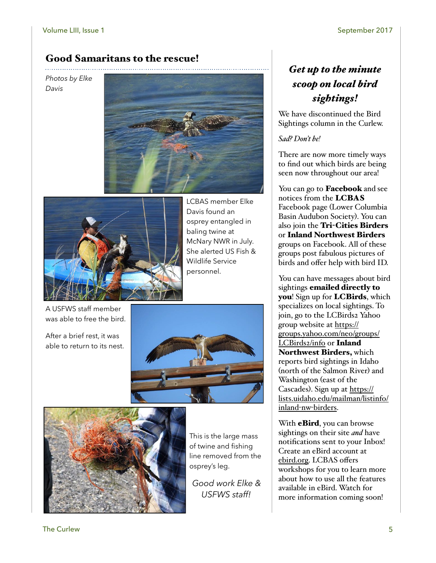### Good Samaritans to the rescue!

*Photos by Elke Davis*





LCBAS member Elke Davis found an osprey entangled in baling twine at McNary NWR in July. She alerted US Fish & Wildlife Service personnel.

A USFWS staff member was able to free the bird.

After a brief rest, it was able to return to its nest.





This is the large mass of twine and fishing line removed from the osprey's leg.

*Good work Elke & USFWS staff!*

### *Get up to the minute scoop on local bird sightings!*

We have discontinued the Bird Sightings column in the Curlew.

#### *Sad? Don't be!*

There are now more timely ways to find out which birds are being seen now throughout our area!

You can go to **Facebook** and see notices from the LCBAS Facebook page (Lower Columbia Basin Audubon Society). You can also join the Tri-Cities Birders or Inland Northwest Birders groups on Facebook. All of these groups post fabulous pictures of birds and offer help with bird ID.

You can have messages about bird sightings emailed directly to you! Sign up for **LCBirds**, which specializes on local sightings. To join, go to the LCBirds2 Yahoo group website at [https://](https://groups.yahoo.com/neo/groups/LCBirds2/info) [groups.yahoo.com/neo/groups/](https://groups.yahoo.com/neo/groups/LCBirds2/info) [LCBirds2/info](https://groups.yahoo.com/neo/groups/LCBirds2/info) or Inland Northwest Birders, which reports bird sightings in Idaho (north of the Salmon River) and Washington (east of the Cascades). Sign up at [https://](https://lists.uidaho.edu/mailman/listinfo/inland-nw-birders) [lists.uidaho.edu/mailman/listinfo/](https://lists.uidaho.edu/mailman/listinfo/inland-nw-birders) inland-nw-[birders](https://lists.uidaho.edu/mailman/listinfo/inland-nw-birders).

With **eBird**, you can browse sightings on their site *and* have notifications sent to your Inbox! Create an eBird account at [ebird.org](http://ebird.org). LCBAS offers workshops for you to learn more about how to use all the features available in eBird. Watch for more information coming soon!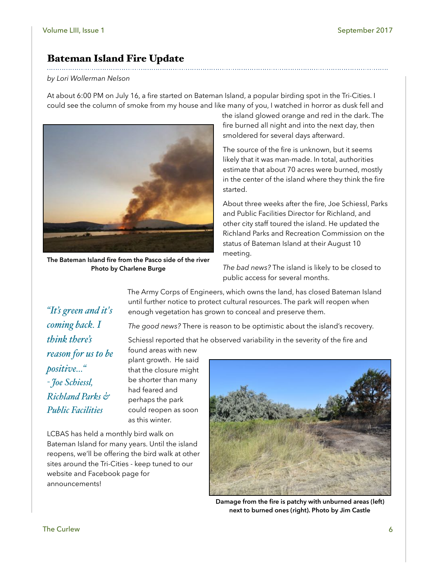### Bateman Island Fire Update

#### *by Lori Wollerman Nelson*

*"It's green and it's* 

*reason for us to be* 

*Richland Parks &* 

*Public Facilities* 

*coming back. I* 

*think there's* 

*positive…"*

*- Joe Schiessl,* 

At about 6:00 PM on July 16, a fire started on Bateman Island, a popular birding spot in the Tri-Cities. I could see the column of smoke from my house and like many of you, I watched in horror as dusk fell and



**The Bateman Island fire from the Pasco side of the river Photo by Charlene Burge**

the island glowed orange and red in the dark. The fire burned all night and into the next day, then smoldered for several days afterward.

The source of the fire is unknown, but it seems likely that it was man-made. In total, authorities estimate that about 70 acres were burned, mostly in the center of the island where they think the fire started.

About three weeks after the fire, Joe Schiessl, Parks and Public Facilities Director for Richland, and other city staff toured the island. He updated the Richland Parks and Recreation Commission on the status of Bateman Island at their August 10 meeting.

*The bad news?* The island is likely to be closed to public access for several months.

The Army Corps of Engineers, which owns the land, has closed Bateman Island until further notice to protect cultural resources. The park will reopen when enough vegetation has grown to conceal and preserve them.

*The good news?* There is reason to be optimistic about the island's recovery.

Schiessl reported that he observed variability in the severity of the fire and

found areas with new plant growth. He said that the closure might be shorter than many had feared and perhaps the park could reopen as soon as this winter.

LCBAS has held a monthly bird walk on Bateman Island for many years. Until the island reopens, we'll be offering the bird walk at other sites around the Tri-Cities - keep tuned to our website and Facebook page for announcements!



**Damage from the fire is patchy with unburned areas (left) next to burned ones (right). Photo by Jim Castle**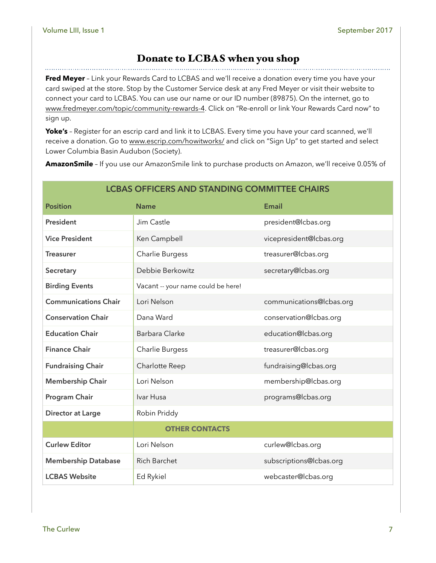. . . . . . . . .

#### Donate to LCBAS when you shop

**Fred Meyer** – Link your Rewards Card to LCBAS and we'll receive a donation every time you have your card swiped at the store. Stop by the Customer Service desk at any Fred Meyer or visit their website to connect your card to LCBAS. You can use our name or our ID number (89875). On the internet, go to [www.fredmeyer.com/topic/community-rewards-4](http://www.fredmeyer.com/topic/community-rewards-4). Click on "Re-enroll or link Your Rewards Card now" to sign up.

**Yoke's** – Register for an escrip card and link it to LCBAS. Every time you have your card scanned, we'll receive a donation. Go to [www.escrip.com/howitworks/](http://www.escrip.com/howitworks/) and click on "Sign Up" to get started and select Lower Columbia Basin Audubon (Society).

**AmazonSmile** – If you use our AmazonSmile link to purchase products on Amazon, we'll receive 0.05% of

| <b>LCBAS OFFICERS AND STANDING COMMITTEE CHAIRS</b> |                                    |                          |  |  |
|-----------------------------------------------------|------------------------------------|--------------------------|--|--|
| <b>Position</b>                                     | <b>Name</b>                        | Email                    |  |  |
| President                                           | Jim Castle                         | president@lcbas.org      |  |  |
| <b>Vice President</b>                               | Ken Campbell                       | vicepresident@lcbas.org  |  |  |
| <b>Treasurer</b>                                    | Charlie Burgess                    | treasurer@lcbas.org      |  |  |
| Secretary                                           | Debbie Berkowitz                   | secretary@lcbas.org      |  |  |
| <b>Birding Events</b>                               | Vacant -- your name could be here! |                          |  |  |
| <b>Communications Chair</b>                         | Lori Nelson                        | communications@lcbas.org |  |  |
| <b>Conservation Chair</b>                           | Dana Ward                          | conservation@lcbas.org   |  |  |
| <b>Education Chair</b>                              | Barbara Clarke                     | education@lcbas.org      |  |  |
| <b>Finance Chair</b>                                | Charlie Burgess                    | treasurer@lcbas.org      |  |  |
| <b>Fundraising Chair</b>                            | Charlotte Reep                     | fundraising@lcbas.org    |  |  |
| <b>Membership Chair</b>                             | Lori Nelson                        | membership@lcbas.org     |  |  |
| Program Chair                                       | Ivar Husa                          | programs@lcbas.org       |  |  |
| <b>Director at Large</b>                            | Robin Priddy                       |                          |  |  |
|                                                     | <b>OTHER CONTACTS</b>              |                          |  |  |
| <b>Curlew Editor</b>                                | Lori Nelson                        | curlew@lcbas.org         |  |  |
| <b>Membership Database</b>                          | <b>Rich Barchet</b>                | subscriptions@lcbas.org  |  |  |
| <b>LCBAS Website</b>                                | Ed Rykiel                          | webcaster@lcbas.org      |  |  |